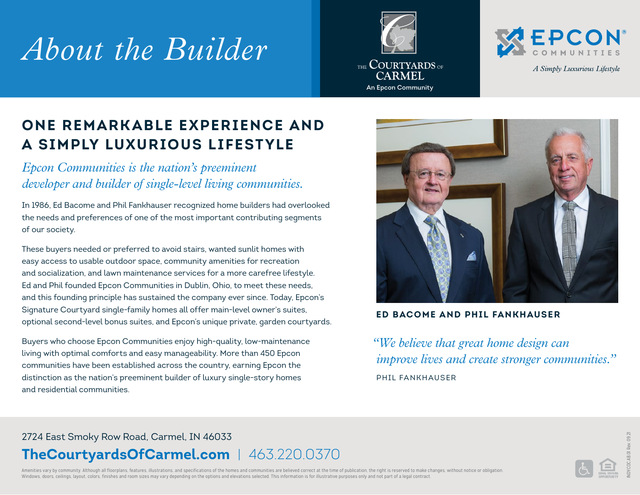# *About the Builder*





A Simply Luxurious Lifestyle

## **ONE REMARK ABLE EXPERIENCE AND A SIMPLY LUXURIOUS LIFESTYLE**

*Epcon Communities is the nation's preeminent developer and builder of single-level living communities.* 

In 1986, Ed Bacome and Phil Fankhauser recognized home builders had overlooked the needs and preferences of one of the most important contributing segments of our society.

These buyers needed or preferred to avoid stairs, wanted sunlit homes with easy access to usable outdoor space, community amenities for recreation and socialization, and lawn maintenance services for a more carefree lifestyle. Ed and Phil founded Epcon Communities in Dublin, Ohio, to meet these needs, and this founding principle has sustained the company ever since. Today, Epcon's Signature Courtyard single-family homes all offer main-level owner's suites, optional second-level bonus suites, and Epcon's unique private, garden courtyards.

Buyers who choose Epcon Communities enjoy high-quality, low-maintenance living with optimal comforts and easy manageability. More than 450 Epcon communities have been established across the country, earning Epcon the distinction as the nation's preeminent builder of luxury single-story homes and residential communities.



#### **ED BACOME AND PHIL FANKHAUSER**

*"We believe that great home design can improve lives and create stronger communities."* PHIL FANKHAUSER

#### 2724 East Smoky Row Road, Carmel, IN 46033

## **TheCourtyardsOfCarmel.com** | 463.220.0370

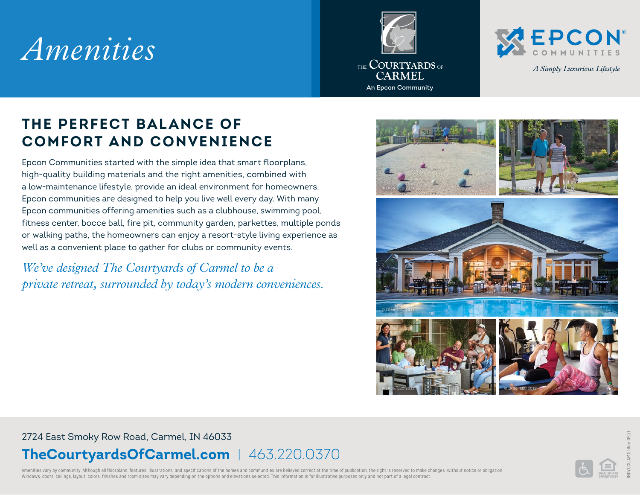# *Amenities*





A Simply Luxurious Lifestyle

## **THE PERFECT BALANCE OF COMFORT AND CONVENIENCE**

Epcon Communities started with the simple idea that smart floorplans, high-quality building materials and the right amenities, combined with a low-maintenance lifestyle, provide an ideal environment for homeowners. Epcon communities are designed to help you live well every day. With many Epcon communities offering amenities such as a clubhouse, swimming pool, fitness center, bocce ball, fire pit, community garden, parkettes, multiple ponds or walking paths, the homeowners can enjoy a resort-style living experience as well as a convenient place to gather for clubs or community events.

*We've designed The Courtyards of Carmel to be a private retreat, surrounded by today's modern conveniences.*



2724 East Smoky Row Road, Carmel, IN 46033

## **TheCourtyardsOfCarmel.com** | 463.220.0370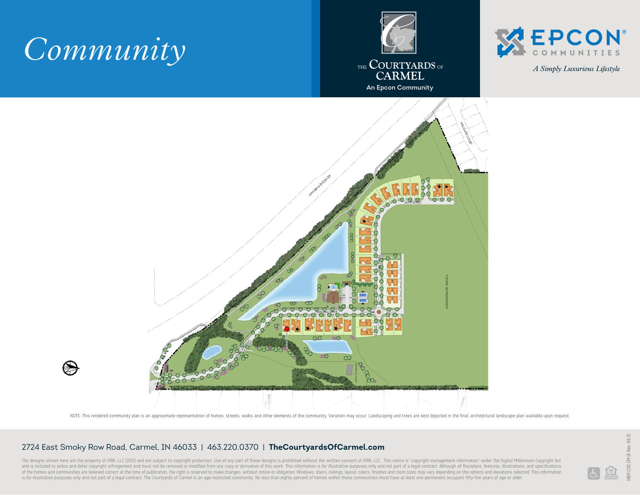# *Community*





A Simply Luxurious Lifestyle



NOTE: This rendered community plan is an approximate representation of homes, streets, walks and other elements of the community. Variation may occur. Landscaping and trees are best depicted in the final, architectural lan

#### 2724 East Smoky Row Road, Carmel, IN 46033 | 463.220.0370 | **TheCourtyardsOfCarmel.com**

The designs shown here are the property of IP86, LLC (2021) and are subject to copyright protection. Use of any part of these designs is prohibited without the written consent of IP86, LLC. This notice is "copyright manage of the homes and communities are believed correct at the time of publication, the right is reserved to make changes, without notice or obligation. Windows, doors, ceilings, layout, colors, finishes and room sizes may vary is for illustrative purposes only and not part of a legal contract. The Courtyards of Carmel is an age-restricted community. No less than eighty percent of homes within these communities must have at least one permanent oc

复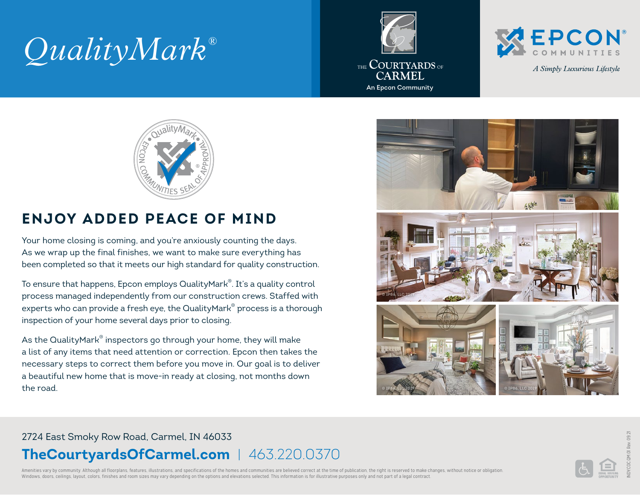# *QualityMark ®*





A Simply Luxurious Lifestyle



## **ENJOY ADDED PEACE OF MIND**

Your home closing is coming, and you're anxiously counting the days. As we wrap up the final finishes, we want to make sure everything has been completed so that it meets our high standard for quality construction.

To ensure that happens, Epcon employs QualityMark $^\circ$ . It's a quality control process managed independently from our construction crews. Staffed with experts who can provide a fresh eye, the QualityMark® process is a thorough inspection of your home several days prior to closing.

As the QualityMark $^\circ$  inspectors go through your home, they will make a list of any items that need attention or correction. Epcon then takes the necessary steps to correct them before you move in. Our goal is to deliver a beautiful new home that is move-in ready at closing, not months down the road. **© IP86, LLC 2019**



#### 2724 East Smoky Row Road, Carmel, IN 46033

## **TheCourtyardsOfCarmel.com** | 463.220.0370

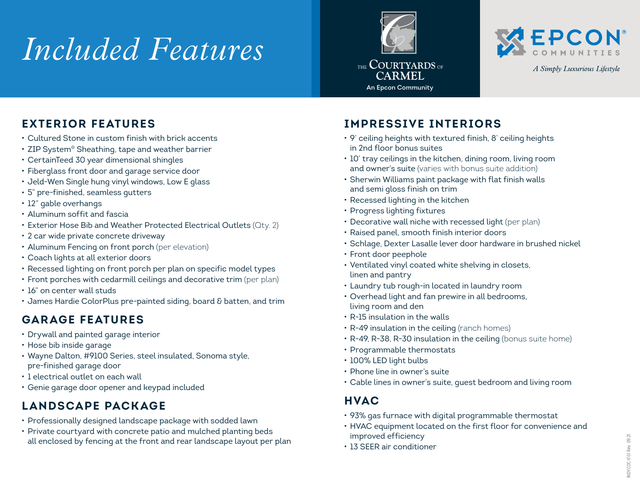# *Included Features*





A Simply Luxurious Lifestyle

#### **EXTERIOR FEATURES**

- *•* Cultured Stone in custom finish with brick accents
- *•* ZIP System® Sheathing, tape and weather barrier
- *•* CertainTeed 30 year dimensional shingles
- *•* Fiberglass front door and garage service door
- *•* Jeld-Wen Single hung vinyl windows, Low E glass
- *•* 5" pre-finished, seamless gutters
- *•* 12" gable overhangs
- *•* Aluminum soffit and fascia
- *•* Exterior Hose Bib and Weather Protected Electrical Outlets (Qty. 2)
- *•* 2 car wide private concrete driveway
- *•* Aluminum Fencing on front porch (per elevation)
- *•* Coach lights at all exterior doors
- *•* Recessed lighting on front porch per plan on specific model types
- *•* Front porches with cedarmill ceilings and decorative trim (per plan)
- *•* 16" on center wall studs
- *•* James Hardie ColorPlus pre-painted siding, board & batten, and trim

### **GARAGE FEATURES**

- *•* Drywall and painted garage interior
- *•* Hose bib inside garage
- *•* Wayne Dalton, #9100 Series, steel insulated, Sonoma style, pre-finished garage door
- *•* 1 electrical outlet on each wall
- *•* Genie garage door opener and keypad included

### **LANDSCAPE PACKAGE**

- *•* Professionally designed landscape package with sodded lawn
- *•* Private courtyard with concrete patio and mulched planting beds all enclosed by fencing at the front and rear landscape layout per plan

### **IMPRESSIVE INTERIORS**

- *•* 9' ceiling heights with textured finish, 8' ceiling heights in 2nd floor bonus suites
- *•* 10' tray ceilings in the kitchen, dining room, living room and owner's suite (varies with bonus suite addition)
- *•* Sherwin Williams paint package with flat finish walls and semi gloss finish on trim
- *•* Recessed lighting in the kitchen
- *•* Progress lighting fixtures
- *•* Decorative wall niche with recessed light (per plan)
- *•* Raised panel, smooth finish interior doors
- *•* Schlage, Dexter Lasalle lever door hardware in brushed nickel
- *•* Front door peephole
- *•* Ventilated vinyl coated white shelving in closets, linen and pantry
- *•* Laundry tub rough-in located in laundry room
- *•* Overhead light and fan prewire in all bedrooms, living room and den
- *•* R-15 insulation in the walls
- *•* R-49 insulation in the ceiling (ranch homes)
- *•* R-49, R-38, R-30 insulation in the ceiling (bonus suite home)
- *•* Programmable thermostats
- *•* 100% LED light bulbs
- *•* Phone line in owner's suite
- *•* Cable lines in owner's suite, guest bedroom and living room

#### **HVAC**

- *•* 93% gas furnace with digital programmable thermostat
- *•* HVAC equipment located on the first floor for convenience and improved efficiency
- *•* 13 SEER air conditioner